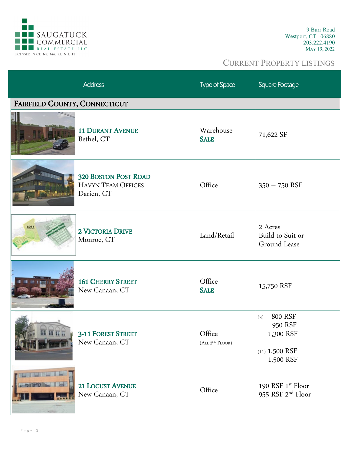

|                               | <b>Address</b>                                                         | Type of Space                         | Square Footage                                                          |
|-------------------------------|------------------------------------------------------------------------|---------------------------------------|-------------------------------------------------------------------------|
| FAIRFIELD COUNTY, CONNECTICUT |                                                                        |                                       |                                                                         |
|                               | <b>11 DURANT AVENUE</b><br>Bethel, CT                                  | Warehouse<br><b>SALE</b>              | 71,622 SF                                                               |
|                               | <b>320 BOSTON POST ROAD</b><br><b>HAVYN TEAM OFFICES</b><br>Darien, CT | Office                                | $350 - 750$ RSF                                                         |
| <b>LOT</b> 1                  | 2 VICTORIA DRIVE<br>Monroe, CT                                         | Land/Retail                           | 2 Acres<br>Build to Suit or<br>Ground Lease                             |
|                               | <b>161 CHERRY STREET</b><br>New Canaan, CT                             | Office<br><b>SALE</b>                 | 15,750 RSF                                                              |
|                               | <b>3-11 FOREST STREET</b><br>New Canaan, CT                            | Office<br>(ALL 2 <sup>ND</sup> FLOOR) | 800 RSF<br>(3)<br>950 RSF<br>1,300 RSF<br>$(11)$ 1,500 RSF<br>1,500 RSF |
|                               | <b>21 LOCUST AVENUE</b><br>New Canaan, CT                              | Office                                | 190 RSF 1st Floor<br>955 RSF 2 <sup>nd</sup> Floor                      |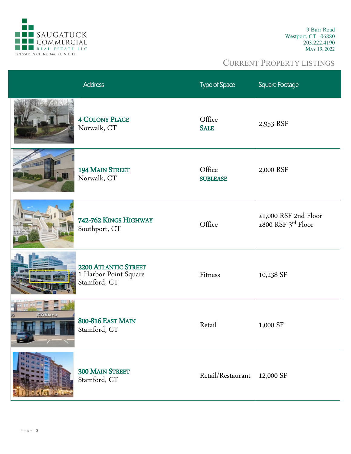

|             | <b>Address</b>                                                       | Type of Space             | Square Footage                                                |
|-------------|----------------------------------------------------------------------|---------------------------|---------------------------------------------------------------|
|             | <b>4 COLONY PLACE</b><br>Norwalk, CT                                 | Office<br><b>SALE</b>     | 2,953 RSF                                                     |
|             | 194 MAIN STREET<br>Norwalk, CT                                       | Office<br><b>SUBLEASE</b> | 2,000 RSF                                                     |
|             | 742-762 KINGS HIGHWAY<br>Southport, CT                               | Office                    | $±1,000$ RSF 2nd Floor<br>$\pm 800$ RSF 3 <sup>rd</sup> Floor |
|             | <b>2200 ATLANTIC STREET</b><br>1 Harbor Point Square<br>Stamford, CT | Fitness                   | 10,238 SF                                                     |
| presta ey 2 | <b>800-816 EAST MAIN</b><br>Stamford, CT                             | Retail                    | 1,000 SF                                                      |
|             | 300 MAIN STREET<br>Stamford, CT                                      | Retail/Restaurant         | 12,000 SF                                                     |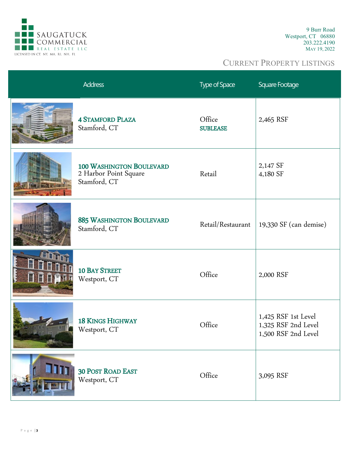

| <b>Address</b>                                                           | <b>Type of Space</b>      | Square Footage                                                    |
|--------------------------------------------------------------------------|---------------------------|-------------------------------------------------------------------|
| <b>4 STAMFORD PLAZA</b><br>Stamford, CT                                  | Office<br><b>SUBLEASE</b> | 2,465 RSF                                                         |
| <b>100 WASHINGTON BOULEVARD</b><br>2 Harbor Point Square<br>Stamford, CT | Retail                    | 2,147 SF<br>4,180 SF                                              |
| <b>885 WASHINGTON BOULEVARD</b><br>Stamford, CT                          | Retail/Restaurant         | 19,330 SF (can demise)                                            |
| <b>10 BAY STREET</b><br>Westport, CT                                     | Office                    | 2,000 RSF                                                         |
| <b>18 KINGS HIGHWAY</b><br>Westport, CT                                  | Office                    | 1,425 RSF 1st Level<br>1,325 RSF 2nd Level<br>1,500 RSF 2nd Level |
| <b>30 POST ROAD EAST</b><br>Westport, CT                                 | Office                    | 3,095 RSF                                                         |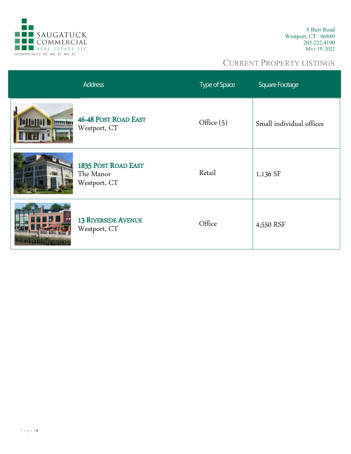

|                       | <b>Address</b>                                   | Type of Space | Square Footage           |
|-----------------------|--------------------------------------------------|---------------|--------------------------|
| <b>FIEIT</b><br>humin | <b>46-48 POST ROAD EAST</b><br>Westport, CT      | Office $(5)$  | Small individual offices |
|                       | 1835 POST ROAD EAST<br>The Manor<br>Westport, CT | Retail        | 1,136 SF                 |
|                       | <b>13 RIVERSIDE AVENUE</b><br>Westport, CT       | Office        | 4,550 RSF                |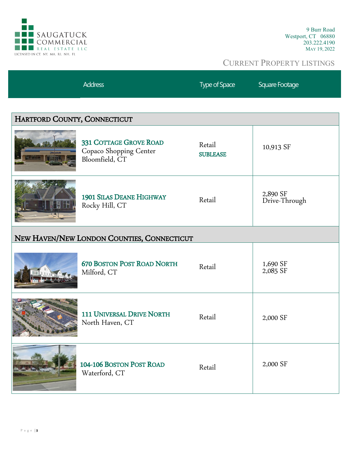

|                                            | <b>Address</b>                                                     | Type of Space             | Square Footage            |
|--------------------------------------------|--------------------------------------------------------------------|---------------------------|---------------------------|
|                                            |                                                                    |                           |                           |
| HARTFORD COUNTY, CONNECTICUT               |                                                                    |                           |                           |
|                                            | 331 COTTAGE GROVE ROAD<br>Copaco Shopping Center<br>Bloomfield, CT | Retail<br><b>SUBLEASE</b> | 10,913 SF                 |
|                                            | <b>1901 SILAS DEANE HIGHWAY</b><br>Rocky Hill, CT                  | Retail                    | 2,890 SF<br>Drive-Through |
| NEW HAVEN/NEW LONDON COUNTIES, CONNECTICUT |                                                                    |                           |                           |
|                                            | <b>670 BOSTON POST ROAD NORTH</b><br>Milford, CT                   | Retail                    | 1,690 SF<br>2,085 SF      |
|                                            | <b>111 UNIVERSAL DRIVE NORTH</b><br>North Haven, CT                | Retail                    | 2,000 SF                  |
|                                            | 104-106 BOSTON POST ROAD<br>Waterford, CT                          | Retail                    | 2,000 SF                  |